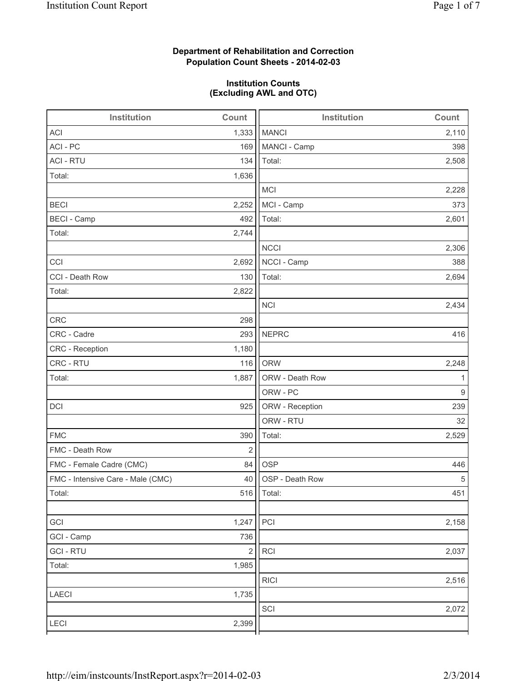# **Department of Rehabilitation and Correction Population Count Sheets - 2014-02-03**

# **Institution Counts (Excluding AWL and OTC)**

| Institution                       | Count                   | <b>Institution</b><br>Count |       |
|-----------------------------------|-------------------------|-----------------------------|-------|
| <b>ACI</b>                        | 1,333                   | <b>MANCI</b>                | 2,110 |
| ACI - PC                          | 169                     | MANCI - Camp                | 398   |
| <b>ACI - RTU</b>                  | 134                     | Total:                      | 2,508 |
| Total:                            | 1,636                   |                             |       |
|                                   |                         | <b>MCI</b>                  | 2,228 |
| <b>BECI</b>                       | 2,252                   | MCI - Camp                  | 373   |
| <b>BECI - Camp</b>                | 492                     | Total:                      | 2,601 |
| Total:                            | 2,744                   |                             |       |
|                                   |                         | <b>NCCI</b>                 | 2,306 |
| CCI                               | 2,692                   | NCCI - Camp                 | 388   |
| CCI - Death Row                   | 130                     | Total:                      | 2,694 |
| Total:                            | 2,822                   |                             |       |
|                                   |                         | <b>NCI</b>                  | 2,434 |
| <b>CRC</b>                        | 298                     |                             |       |
| CRC - Cadre                       | 293                     | <b>NEPRC</b>                | 416   |
| CRC - Reception                   | 1,180                   |                             |       |
| CRC - RTU                         | 116                     | <b>ORW</b>                  | 2,248 |
| Total:                            | 1,887                   | ORW - Death Row             | 1     |
|                                   |                         | ORW - PC                    | $9\,$ |
| DCI                               | 925                     | ORW - Reception             | 239   |
|                                   |                         | ORW - RTU                   | 32    |
| <b>FMC</b>                        | 390                     | Total:                      | 2,529 |
| FMC - Death Row                   | $\overline{2}$          |                             |       |
| FMC - Female Cadre (CMC)          | 84                      | <b>OSP</b>                  | 446   |
| FMC - Intensive Care - Male (CMC) | 40                      | OSP - Death Row             | 5     |
| Total:                            |                         | 516   Total:                | 451   |
|                                   |                         |                             |       |
| GCI                               | 1,247                   | PCI                         | 2,158 |
| GCI - Camp                        | 736                     |                             |       |
| <b>GCI-RTU</b>                    | $\overline{\mathbf{c}}$ | RCI                         | 2,037 |
| Total:                            | 1,985                   |                             |       |
|                                   |                         | <b>RICI</b>                 | 2,516 |
| LAECI                             | 1,735                   |                             |       |
|                                   |                         | SCI                         | 2,072 |
| LECI                              | 2,399                   |                             |       |
|                                   |                         |                             |       |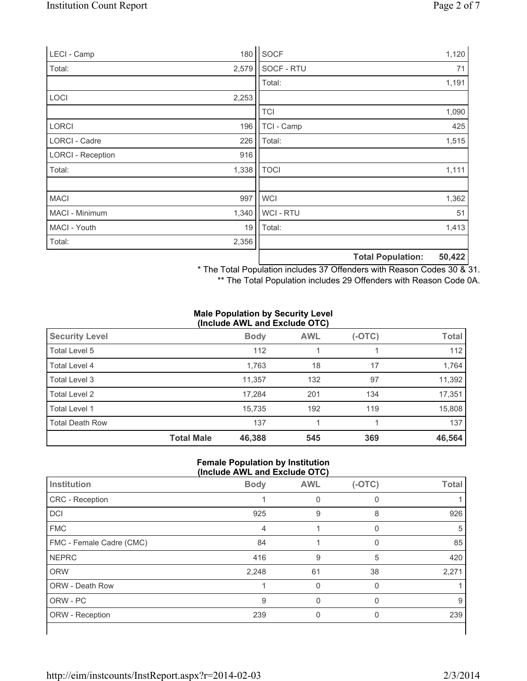| LECI - Camp              | 180   | SOCF           |                          | 1,120  |
|--------------------------|-------|----------------|--------------------------|--------|
| Total:                   | 2,579 | SOCF - RTU     |                          | 71     |
|                          |       | Total:         |                          | 1,191  |
| LOCI                     | 2,253 |                |                          |        |
|                          |       | <b>TCI</b>     |                          | 1,090  |
| <b>LORCI</b>             | 196   | TCI - Camp     |                          | 425    |
| LORCI - Cadre            | 226   | Total:         |                          | 1,515  |
| <b>LORCI - Reception</b> | 916   |                |                          |        |
| Total:                   | 1,338 | <b>TOCI</b>    |                          | 1,111  |
|                          |       |                |                          |        |
| <b>MACI</b>              | 997   | <b>WCI</b>     |                          | 1,362  |
| MACI - Minimum           | 1,340 | <b>WCI-RTU</b> |                          | 51     |
| MACI - Youth             | 19    | Total:         |                          | 1,413  |
| Total:                   | 2,356 |                |                          |        |
|                          |       |                | <b>Total Population:</b> | 50,422 |

\* The Total Population includes 37 Offenders with Reason Codes 30 & 31.

\*\* The Total Population includes 29 Offenders with Reason Code 0A.

#### **Male Population by Security Level (Include AWL and Exclude OTC)**

|                        |                   |             | $-200$     |        |              |
|------------------------|-------------------|-------------|------------|--------|--------------|
| <b>Security Level</b>  |                   | <b>Body</b> | <b>AWL</b> | (-OTC) | <b>Total</b> |
| Total Level 5          |                   | 112         |            |        | 112          |
| Total Level 4          |                   | 1,763       | 18         | 17     | 1,764        |
| Total Level 3          |                   | 11,357      | 132        | 97     | 11,392       |
| Total Level 2          |                   | 17,284      | 201        | 134    | 17,351       |
| Total Level 1          |                   | 15,735      | 192        | 119    | 15,808       |
| <b>Total Death Row</b> |                   | 137         |            |        | 137          |
|                        | <b>Total Male</b> | 46,388      | 545        | 369    | 46,564       |

### **Female Population by Institution (Include AWL and Exclude OTC)**

| Institution              | <b>Body</b> | <b>AWL</b> | $(-OTC)$ | <b>Total</b> |
|--------------------------|-------------|------------|----------|--------------|
| CRC - Reception          |             |            |          |              |
| DCI                      | 925         | 9          | 8        | 926          |
| <b>FMC</b>               | 4           |            |          | 5            |
| FMC - Female Cadre (CMC) | 84          |            | 0        | 85           |
| <b>NEPRC</b>             | 416         | 9          | 5        | 420          |
| <b>ORW</b>               | 2,248       | 61         | 38       | 2,271        |
| <b>ORW - Death Row</b>   |             | $\Omega$   | $\Omega$ |              |
| ORW - PC                 | 9           |            |          | 9            |
| ORW - Reception          | 239         | 0          | 0        | 239          |
|                          |             |            |          |              |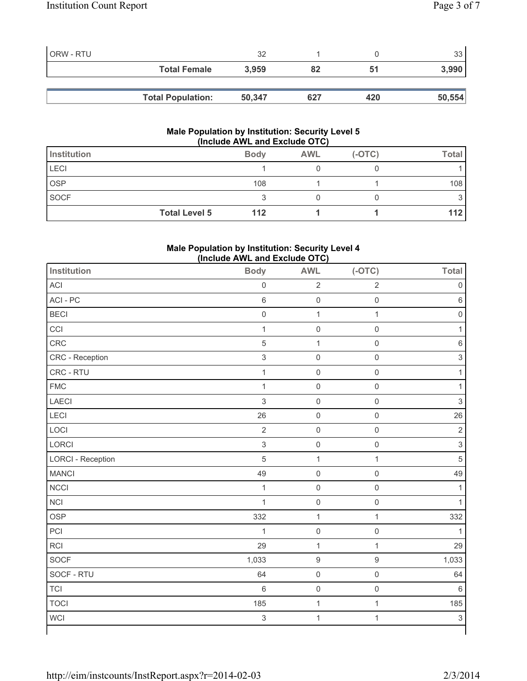| ORW - RTU |                          | 32     |     |     | つつ     |
|-----------|--------------------------|--------|-----|-----|--------|
|           | <b>Total Female</b>      | 3.959  | 82  | 51  | 3,990  |
|           |                          |        |     |     |        |
|           | <b>Total Population:</b> | 50,347 | 627 | 420 | 50,554 |

### **Male Population by Institution: Security Level 5 (Include AWL and Exclude OTC)**

| Institution          | <b>Body</b> | <b>AWL</b> | $(-OTC)$ | <b>Total</b> |
|----------------------|-------------|------------|----------|--------------|
| <b>LECI</b>          |             |            |          |              |
| OSP                  | 108         |            |          | 108          |
| <b>SOCF</b>          |             |            |          |              |
| <b>Total Level 5</b> | 112         |            |          | 112          |

# **Male Population by Institution: Security Level 4 (Include AWL and Exclude OTC)**

| Institution              | <b>Body</b>               | <b>AWL</b>          | $(-OTC)$            | <b>Total</b>              |
|--------------------------|---------------------------|---------------------|---------------------|---------------------------|
| ACI                      | $\mathsf{O}\xspace$       | $\sqrt{2}$          | $\sqrt{2}$          | $\mathbf 0$               |
| ACI-PC                   | $\,6\,$                   | $\mathsf{O}\xspace$ | $\mathbf 0$         | $\,6\,$                   |
| <b>BECI</b>              | $\mathsf 0$               | $\mathbf{1}$        | $\mathbf{1}$        | $\mathbf 0$               |
| CCI                      | $\mathbf{1}$              | $\mathsf{O}$        | $\mathbf 0$         | $\mathbf{1}$              |
| CRC                      | $\overline{5}$            | $\mathbf{1}$        | $\mathsf 0$         | $\,6\,$                   |
| CRC - Reception          | $\ensuremath{\mathsf{3}}$ | $\mathsf{O}\xspace$ | $\mathsf{O}\xspace$ | $\ensuremath{\mathsf{3}}$ |
| CRC - RTU                | $\mathbf{1}$              | $\mathsf{O}\xspace$ | $\mathbf 0$         | $\mathbf{1}$              |
| <b>FMC</b>               | $\mathbf 1$               | $\mathsf{O}\xspace$ | $\mathbf 0$         | 1                         |
| LAECI                    | $\mathfrak{S}$            | $\mathsf{O}\xspace$ | $\mathsf 0$         | $\sqrt{3}$                |
| <b>LECI</b>              | 26                        | $\mathsf{O}\xspace$ | $\mathbf 0$         | 26                        |
| LOCI                     | $\overline{2}$            | $\mathsf{O}\xspace$ | $\mathsf{O}\xspace$ | $\sqrt{2}$                |
| LORCI                    | $\mathfrak{S}$            | $\mathsf 0$         | $\mathsf{O}\xspace$ | $\mathsf 3$               |
| <b>LORCI - Reception</b> | $\sqrt{5}$                | $\mathbf{1}$        | $\mathbf{1}$        | $\sqrt{5}$                |
| <b>MANCI</b>             | 49                        | $\mathsf{O}\xspace$ | $\mathsf 0$         | 49                        |
| <b>NCCI</b>              | $\mathbf{1}$              | $\mathsf 0$         | $\mathsf{O}\xspace$ | 1                         |
| <b>NCI</b>               | $\mathbf{1}$              | $\mathsf 0$         | $\mathbf 0$         | $\mathbf{1}$              |
| <b>OSP</b>               | 332                       | $\mathbf{1}$        | $\mathbf 1$         | 332                       |
| PCI                      | $\mathbf 1$               | $\mathsf{O}\xspace$ | $\mathsf{O}\xspace$ | $\mathbf{1}$              |
| <b>RCI</b>               | 29                        | $\mathbf 1$         | $\mathbf 1$         | 29                        |
| SOCF                     | 1,033                     | $\boldsymbol{9}$    | $\boldsymbol{9}$    | 1,033                     |
| SOCF - RTU               | 64                        | $\mathsf{O}\xspace$ | $\mathbf 0$         | 64                        |
| <b>TCI</b>               | 6                         | $\mathsf{O}\xspace$ | $\boldsymbol{0}$    | $\,6\,$                   |
| <b>TOCI</b>              | 185                       | $\mathbf 1$         | $\mathbf 1$         | 185                       |
| <b>WCI</b>               | $\ensuremath{\mathsf{3}}$ | $\mathbf 1$         | $\mathbf{1}$        | $\ensuremath{\mathsf{3}}$ |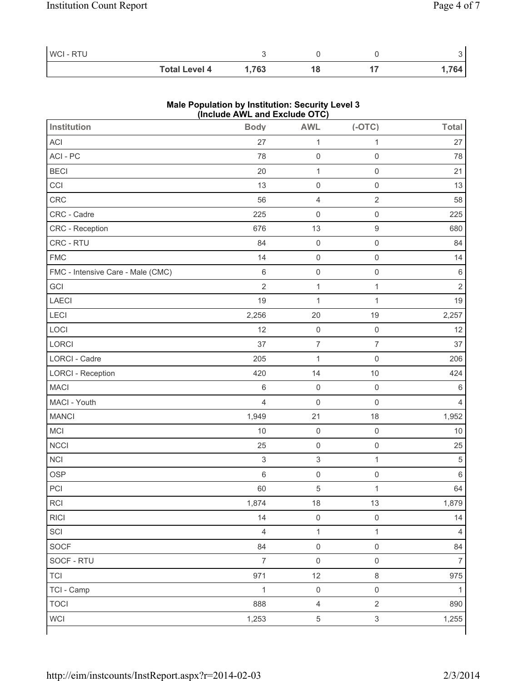| WCI - RTU |                      |            |  |      |
|-----------|----------------------|------------|--|------|
|           | <b>Total Level 4</b> | <b>763</b> |  | 764. |

### **Male Population by Institution: Security Level 3 (Include AWL and Exclude OTC)**

| <b>Institution</b>                | <b>Body</b>    | <b>AWL</b>                | $(-OTC)$            | <b>Total</b>   |
|-----------------------------------|----------------|---------------------------|---------------------|----------------|
| ACI                               | 27             | $\mathbf{1}$              | $\mathbf{1}$        | 27             |
| ACI - PC                          | 78             | $\mathsf 0$               | $\mathsf{O}\xspace$ | 78             |
| <b>BECI</b>                       | 20             | $\mathbf{1}$              | $\mathbf 0$         | 21             |
| CCI                               | 13             | $\mathsf 0$               | $\mathsf{O}\xspace$ | 13             |
| CRC                               | 56             | $\overline{4}$            | $\sqrt{2}$          | 58             |
| CRC - Cadre                       | 225            | $\mathsf 0$               | $\mathsf{O}\xspace$ | 225            |
| CRC - Reception                   | 676            | 13                        | $\boldsymbol{9}$    | 680            |
| CRC - RTU                         | 84             | $\mathsf 0$               | $\mathbf 0$         | 84             |
| <b>FMC</b>                        | 14             | $\mathsf 0$               | $\mathsf{O}\xspace$ | 14             |
| FMC - Intensive Care - Male (CMC) | 6              | $\mathsf{O}\xspace$       | $\mathsf{O}\xspace$ | $\,6\,$        |
| GCI                               | $\overline{2}$ | $\mathbf{1}$              | $\mathbf{1}$        | $\overline{2}$ |
| <b>LAECI</b>                      | 19             | $\mathbf{1}$              | $\mathbf 1$         | 19             |
| LECI                              | 2,256          | 20                        | 19                  | 2,257          |
| LOCI                              | 12             | $\mathsf 0$               | $\mathsf{O}\xspace$ | 12             |
| LORCI                             | 37             | $\overline{\mathcal{I}}$  | $\overline{7}$      | 37             |
| LORCI - Cadre                     | 205            | $\mathbf{1}$              | $\mathbf 0$         | 206            |
| <b>LORCI - Reception</b>          | 420            | 14                        | 10                  | 424            |
| <b>MACI</b>                       | 6              | $\mathsf 0$               | $\mathbf 0$         | $\,6\,$        |
| MACI - Youth                      | $\overline{4}$ | $\mathsf 0$               | $\mathbf 0$         | $\overline{4}$ |
| <b>MANCI</b>                      | 1,949          | 21                        | 18                  | 1,952          |
| MCI                               | 10             | $\mathsf 0$               | $\mathbf 0$         | 10             |
| <b>NCCI</b>                       | 25             | $\mathsf 0$               | $\mathsf{O}\xspace$ | 25             |
| <b>NCI</b>                        | $\mathsf 3$    | $\ensuremath{\mathsf{3}}$ | $\mathbf{1}$        | 5              |
| <b>OSP</b>                        | 6              | $\mathsf 0$               | $\mathsf{O}\xspace$ | $\,6\,$        |
| PCI                               | 60             | $\sqrt{5}$                | $\mathbf 1$         | 64             |
| $\sf RCI$                         | 1,874          | 18                        | 13                  | 1,879          |
| <b>RICI</b>                       | 14             | $\mathsf 0$               | $\mathsf{O}\xspace$ | 14             |
| SCI                               | $\overline{4}$ | $\mathbf{1}$              | $\mathbf{1}$        | 4              |
| SOCF                              | 84             | $\mathsf{O}\xspace$       | $\mathsf{O}\xspace$ | 84             |
| SOCF - RTU                        | $\overline{7}$ | $\mathsf{O}\xspace$       | $\mathsf{O}\xspace$ | $\overline{7}$ |
| <b>TCI</b>                        | 971            | 12                        | $\,8\,$             | 975            |
| TCI - Camp                        | $\mathbf{1}$   | $\mathsf{O}\xspace$       | $\mathsf{O}\xspace$ | 1              |
| <b>TOCI</b>                       | 888            | $\overline{4}$            | $\overline{2}$      | 890            |
| <b>WCI</b>                        | 1,253          | $\,$ 5 $\,$               | $\mathsf 3$         | 1,255          |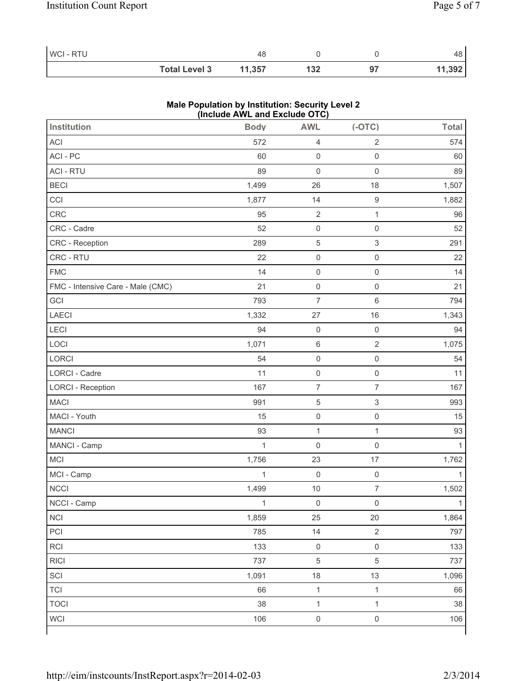| WCI-RTU |                      |        |     |    | 48     |
|---------|----------------------|--------|-----|----|--------|
|         | <b>Total Level 3</b> | 11,357 | 132 | 97 | 11,392 |

### **Male Population by Institution: Security Level 2 (Include AWL and Exclude OTC)**

| <b>Institution</b>                | <b>Body</b>  | <b>AWL</b>          | $(-OTC)$                  | <b>Total</b> |
|-----------------------------------|--------------|---------------------|---------------------------|--------------|
| ACI                               | 572          | $\overline{4}$      | $\sqrt{2}$                | 574          |
| ACI - PC                          | 60           | $\mathsf 0$         | $\mathsf{O}\xspace$       | 60           |
| <b>ACI - RTU</b>                  | 89           | $\mathsf{O}\xspace$ | $\mathbf 0$               | 89           |
| <b>BECI</b>                       | 1,499        | 26                  | 18                        | 1,507        |
| CCI                               | 1,877        | 14                  | $\boldsymbol{9}$          | 1,882        |
| CRC                               | 95           | $\sqrt{2}$          | $\mathbf 1$               | 96           |
| CRC - Cadre                       | 52           | $\mathsf{O}\xspace$ | $\mathsf{O}\xspace$       | 52           |
| CRC - Reception                   | 289          | $\,$ 5 $\,$         | $\sqrt{3}$                | 291          |
| CRC - RTU                         | 22           | $\mathsf{O}\xspace$ | $\mathsf{O}\xspace$       | 22           |
| <b>FMC</b>                        | 14           | $\mathsf{O}\xspace$ | $\mathsf{O}\xspace$       | 14           |
| FMC - Intensive Care - Male (CMC) | 21           | $\mathsf{O}\xspace$ | $\mathbf 0$               | 21           |
| GCI                               | 793          | $\overline{7}$      | $\,6\,$                   | 794          |
| LAECI                             | 1,332        | 27                  | 16                        | 1,343        |
| <b>LECI</b>                       | 94           | $\mathsf 0$         | $\mathsf{O}\xspace$       | 94           |
| LOCI                              | 1,071        | $\,6\,$             | $\sqrt{2}$                | 1,075        |
| LORCI                             | 54           | $\mathsf{O}\xspace$ | $\mathsf{O}\xspace$       | 54           |
| LORCI - Cadre                     | 11           | $\mathsf{O}\xspace$ | $\mathsf{O}\xspace$       | 11           |
| <b>LORCI - Reception</b>          | 167          | $\overline{7}$      | $\overline{7}$            | 167          |
| <b>MACI</b>                       | 991          | $\,$ 5 $\,$         | $\ensuremath{\mathsf{3}}$ | 993          |
| MACI - Youth                      | 15           | $\mathsf{O}\xspace$ | $\boldsymbol{0}$          | 15           |
| <b>MANCI</b>                      | 93           | $\mathbf{1}$        | $\mathbf 1$               | 93           |
| MANCI - Camp                      | $\mathbf{1}$ | $\mathsf{O}\xspace$ | $\mathsf{O}\xspace$       | 1            |
| MCI                               | 1,756        | 23                  | 17                        | 1,762        |
| MCI - Camp                        | $\mathbf{1}$ | $\mathsf{O}\xspace$ | $\mathbf 0$               | 1            |
| <b>NCCI</b>                       | 1,499        | $10$                | $\overline{7}$            | 1,502        |
| NCCI - Camp                       | $\mathbf{1}$ | $\mathsf 0$         | $\mathsf{O}\xspace$       | $\mathbf{1}$ |
| <b>NCI</b>                        | 1,859        | 25                  | 20                        | 1,864        |
| PCI                               | 785          | 14                  | $\sqrt{2}$                | 797          |
| RCI                               | 133          | $\mathsf 0$         | $\mathsf{O}\xspace$       | 133          |
| <b>RICI</b>                       | 737          | $\,$ 5 $\,$         | $\,$ 5 $\,$               | 737          |
| SCI                               | 1,091        | 18                  | 13                        | 1,096        |
| <b>TCI</b>                        | 66           | $\mathbf{1}$        | $\mathbf{1}$              | 66           |
| <b>TOCI</b>                       | 38           | $\mathbf{1}$        | $\mathbf{1}$              | 38           |
| <b>WCI</b>                        | 106          | $\mathsf{O}\xspace$ | $\mathsf{O}\xspace$       | 106          |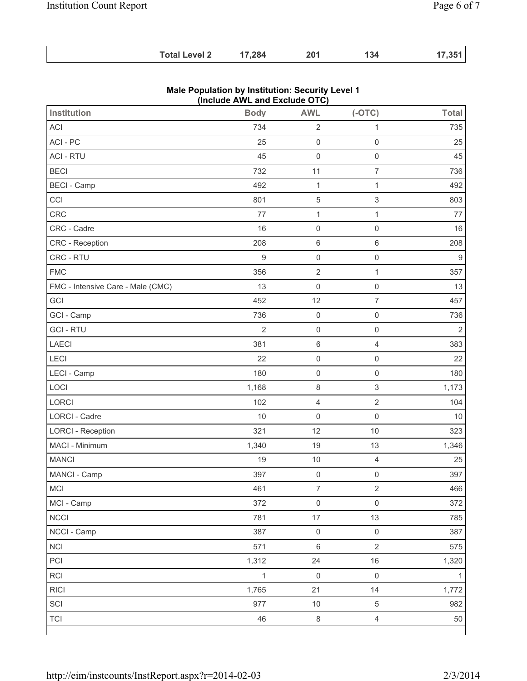| <b>Total Level 2</b> | 17,284 | 201 | 134 | 17,351 |
|----------------------|--------|-----|-----|--------|
|                      |        |     |     |        |

| (include AWL and Exclude OTC)     |                |                     |                           |                  |  |  |  |  |
|-----------------------------------|----------------|---------------------|---------------------------|------------------|--|--|--|--|
| <b>Institution</b>                | <b>Body</b>    | <b>AWL</b>          | $(-OTC)$                  | <b>Total</b>     |  |  |  |  |
| ACI                               | 734            | $\sqrt{2}$          | 1                         | 735              |  |  |  |  |
| ACI-PC                            | 25             | $\mathsf 0$         | $\mathbf 0$               | 25               |  |  |  |  |
| <b>ACI - RTU</b>                  | 45             | $\mathsf{O}\xspace$ | $\mathbf 0$               | 45               |  |  |  |  |
| <b>BECI</b>                       | 732            | 11                  | $\overline{7}$            | 736              |  |  |  |  |
| <b>BECI - Camp</b>                | 492            | $\mathbf{1}$        | $\mathbf{1}$              | 492              |  |  |  |  |
| CCI                               | 801            | $\,$ 5 $\,$         | $\ensuremath{\mathsf{3}}$ | 803              |  |  |  |  |
| CRC                               | 77             | $\mathbf{1}$        | $\mathbf{1}$              | 77               |  |  |  |  |
| CRC - Cadre                       | 16             | $\mathsf 0$         | $\mathbf 0$               | 16               |  |  |  |  |
| CRC - Reception                   | 208            | $\,6\,$             | $\,6\,$                   | 208              |  |  |  |  |
| CRC - RTU                         | $\hbox{9}$     | $\mathsf{O}\xspace$ | $\mathsf{O}\xspace$       | $\boldsymbol{9}$ |  |  |  |  |
| <b>FMC</b>                        | 356            | $\sqrt{2}$          | $\mathbf 1$               | 357              |  |  |  |  |
| FMC - Intensive Care - Male (CMC) | 13             | $\mathsf{O}\xspace$ | $\mathbf 0$               | 13               |  |  |  |  |
| GCI                               | 452            | 12                  | $\overline{7}$            | 457              |  |  |  |  |
| GCI - Camp                        | 736            | $\mathsf 0$         | $\mathsf 0$               | 736              |  |  |  |  |
| <b>GCI-RTU</b>                    | $\overline{2}$ | $\mathsf 0$         | $\mathsf{O}\xspace$       | $\overline{2}$   |  |  |  |  |
| <b>LAECI</b>                      | 381            | $\,6\,$             | $\overline{4}$            | 383              |  |  |  |  |
| LECI                              | 22             | $\mathsf 0$         | $\mathsf 0$               | 22               |  |  |  |  |
| LECI - Camp                       | 180            | $\mathsf{O}\xspace$ | $\mathbf 0$               | 180              |  |  |  |  |
| LOCI                              | 1,168          | $\,8\,$             | $\ensuremath{\mathsf{3}}$ | 1,173            |  |  |  |  |
| <b>LORCI</b>                      | 102            | $\overline{4}$      | $\sqrt{2}$                | 104              |  |  |  |  |
| LORCI - Cadre                     | $10$           | $\mathsf 0$         | $\mathsf 0$               | 10               |  |  |  |  |
| <b>LORCI - Reception</b>          | 321            | 12                  | 10                        | 323              |  |  |  |  |
| MACI - Minimum                    | 1,340          | 19                  | 13                        | 1,346            |  |  |  |  |
| <b>MANCI</b>                      | 19             | $10$                | $\overline{4}$            | 25               |  |  |  |  |
| MANCI - Camp                      | 397            | $\mathsf 0$         | $\mathsf{O}\xspace$       | 397              |  |  |  |  |
| <b>MCI</b>                        | 461            | 7                   | $\overline{2}$            | 466              |  |  |  |  |
| MCI - Camp                        | 372            | $\mathsf 0$         | $\mathbf 0$               | 372              |  |  |  |  |
| <b>NCCI</b>                       | 781            | 17                  | 13                        | 785              |  |  |  |  |
| NCCI - Camp                       | 387            | $\mathsf 0$         | $\mathsf 0$               | 387              |  |  |  |  |
| NCI                               | 571            | $\,6\,$             | $\overline{2}$            | 575              |  |  |  |  |
| PCI                               | 1,312          | 24                  | 16                        | 1,320            |  |  |  |  |
| RCI                               | $\mathbf{1}$   | $\mathsf 0$         | $\mathbf 0$               | 1                |  |  |  |  |
| <b>RICI</b>                       | 1,765          | 21                  | 14                        | 1,772            |  |  |  |  |
| SCI                               | 977            | $10$                | $\sqrt{5}$                | 982              |  |  |  |  |
| <b>TCI</b>                        | 46             | $\,8\,$             | $\overline{4}$            | $50\,$           |  |  |  |  |

#### **Male Population by Institution: Security Level 1 (Include AWL and Exclude OTC)**